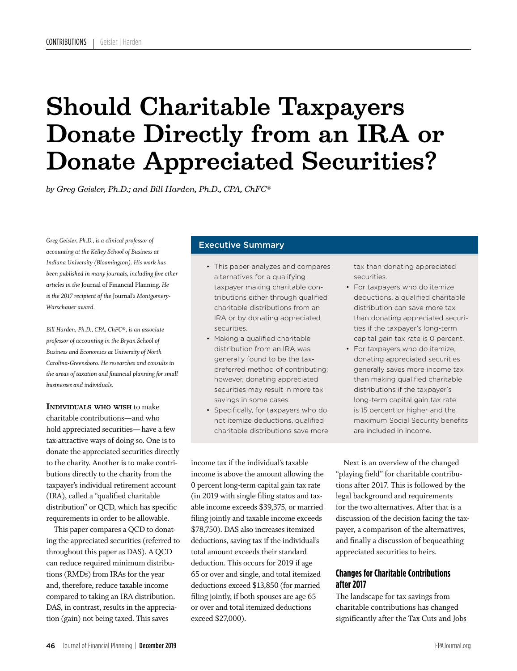# Should Charitable Taxpayers Donate Directly from an IRA or Donate Appreciated Securities?

*by Greg Geisler, Ph.D.; and Bill Harden, Ph.D., CPA, ChFC®*

*Greg Geisler, Ph.D., is a clinical professor of accounting at the Kelley School of Business at Indiana University (Bloomington). His work has been published in many journals, including five other articles in the* Journal of Financial Planning*. He is the 2017 recipient of the* Journal*'s Montgomery-Warschauer award.*

*Bill Harden, Ph.D., CPA, ChFC®, is an associate professor of accounting in the Bryan School of Business and Economics at University of North Carolina-Greensboro. He researches and consults in the areas of taxation and financial planning for small businesses and individuals.* 

Individuals who wish to make charitable contributions—and who hold appreciated securities— have a few tax-attractive ways of doing so. One is to donate the appreciated securities directly to the charity. Another is to make contributions directly to the charity from the taxpayer's individual retirement account (IRA), called a "qualified charitable distribution" or QCD, which has specific requirements in order to be allowable.

This paper compares a QCD to donating the appreciated securities (referred to throughout this paper as DAS). A QCD can reduce required minimum distributions (RMDs) from IRAs for the year and, therefore, reduce taxable income compared to taking an IRA distribution. DAS, in contrast, results in the appreciation (gain) not being taxed. This saves

# Executive Summary

- This paper analyzes and compares alternatives for a qualifying taxpayer making charitable contributions either through qualified charitable distributions from an IRA or by donating appreciated securities.
- Making a qualified charitable distribution from an IRA was generally found to be the taxpreferred method of contributing; however, donating appreciated securities may result in more tax savings in some cases.
- Specifically, for taxpayers who do not itemize deductions, qualified charitable distributions save more

income tax if the individual's taxable income is above the amount allowing the 0 percent long-term capital gain tax rate (in 2019 with single filing status and taxable income exceeds \$39,375, or married filing jointly and taxable income exceeds \$78,750). DAS also increases itemized deductions, saving tax if the individual's total amount exceeds their standard deduction. This occurs for 2019 if age 65 or over and single, and total itemized deductions exceed \$13,850 (for married filing jointly, if both spouses are age 65 or over and total itemized deductions exceed \$27,000).

tax than donating appreciated securities.

- For taxpayers who do itemize deductions, a qualified charitable distribution can save more tax than donating appreciated securities if the taxpayer's long-term capital gain tax rate is 0 percent.
- For taxpayers who do itemize, donating appreciated securities generally saves more income tax than making qualified charitable distributions if the taxpayer's long-term capital gain tax rate is 15 percent or higher and the maximum Social Security benefits are included in income.

Next is an overview of the changed "playing field" for charitable contributions after 2017. This is followed by the legal background and requirements for the two alternatives. After that is a discussion of the decision facing the taxpayer, a comparison of the alternatives, and finally a discussion of bequeathing appreciated securities to heirs.

# **Changes for Charitable Contributions after 2017**

The landscape for tax savings from charitable contributions has changed significantly after the Tax Cuts and Jobs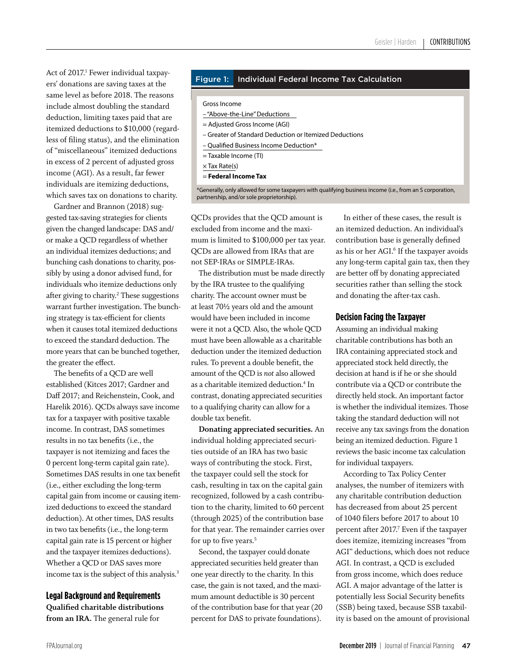Act of 2017.<sup>1</sup> Fewer individual taxpayers' donations are saving taxes at the same level as before 2018. The reasons include almost doubling the standard deduction, limiting taxes paid that are itemized deductions to \$10,000 (regardless of filing status), and the elimination of "miscellaneous" itemized deductions in excess of 2 percent of adjusted gross income (AGI). As a result, far fewer individuals are itemizing deductions, which saves tax on donations to charity.

Gardner and Brannon (2018) suggested tax-saving strategies for clients given the changed landscape: DAS and/ or make a QCD regardless of whether an individual itemizes deductions; and bunching cash donations to charity, possibly by using a donor advised fund, for individuals who itemize deductions only after giving to charity.<sup>2</sup> These suggestions warrant further investigation. The bunching strategy is tax-efficient for clients when it causes total itemized deductions to exceed the standard deduction. The more years that can be bunched together, the greater the effect.

The benefits of a QCD are well established (Kitces 2017; Gardner and Daff 2017; and Reichenstein, Cook, and Harelik 2016). QCDs always save income tax for a taxpayer with positive taxable income. In contrast, DAS sometimes results in no tax benefits (i.e., the taxpayer is not itemizing and faces the 0 percent long-term capital gain rate). Sometimes DAS results in one tax benefit (i.e., either excluding the long-term capital gain from income or causing itemized deductions to exceed the standard deduction). At other times, DAS results in two tax benefits (i.e., the long-term capital gain rate is 15 percent or higher and the taxpayer itemizes deductions). Whether a QCD or DAS saves more income tax is the subject of this analysis.<sup>3</sup>

# **Legal Background and Requirements**

**Qualified charitable distributions from an IRA.** The general rule for

# Figure 1: Individual Federal Income Tax Calculation

Gross Income

- "Above-the-Line" Deductions
- = Adjusted Gross Income (AGI)
- Greater of Standard Deduction or Itemized Deductions
- Qualified Business Income Deduction\*
- = Taxable Income (TI)
- $\times$  Tax Rate(s)
- = **Federal Income Tax**

\*Generally, only allowed for some taxpayers with qualifying business income (i.e., from an S corporation, partnership, and/or sole proprietorship).

QCDs provides that the QCD amount is excluded from income and the maximum is limited to \$100,000 per tax year. QCDs are allowed from IRAs that are not SEP-IRAs or SIMPLE-IRAs.

The distribution must be made directly by the IRA trustee to the qualifying charity. The account owner must be at least 70½ years old and the amount would have been included in income were it not a QCD. Also, the whole QCD must have been allowable as a charitable deduction under the itemized deduction rules. To prevent a double benefit, the amount of the QCD is *not* also allowed as a charitable itemized deduction.4 In contrast, donating appreciated securities to a qualifying charity can allow for a double tax benefit.

**Donating appreciated securities.** An individual holding appreciated securities outside of an IRA has two basic ways of contributing the stock. First, the taxpayer could sell the stock for cash, resulting in tax on the capital gain recognized, followed by a cash contribution to the charity, limited to 60 percent (through 2025) of the contribution base for that year. The remainder carries over for up to five years.<sup>5</sup>

Second, the taxpayer could donate appreciated securities held greater than one year directly to the charity. In this case, the gain is not taxed, and the maximum amount deductible is 30 percent of the contribution base for that year (20 percent for DAS to private foundations).

In either of these cases, the result is an itemized deduction. An individual's contribution base is generally defined as his or her AGI.<sup>6</sup> If the taxpayer avoids any long-term capital gain tax, then they are better off by donating appreciated securities rather than selling the stock and donating the after-tax cash.

# **Decision Facing the Taxpayer**

Assuming an individual making charitable contributions has both an IRA containing appreciated stock and appreciated stock held directly, the decision at hand is if he or she should contribute via a QCD or contribute the directly held stock. An important factor is whether the individual itemizes. Those taking the standard deduction will not receive any tax savings from the donation being an itemized deduction. Figure 1 reviews the basic income tax calculation for individual taxpayers.

According to Tax Policy Center analyses, the number of itemizers with any charitable contribution deduction has decreased from about 25 percent of 1040 filers before 2017 to about 10 percent after 2017.<sup>7</sup> Even if the taxpayer does itemize, itemizing increases "from AGI" deductions, which does not reduce AGI. In contrast, a QCD is excluded from gross income, which does reduce AGI. A major advantage of the latter is potentially less Social Security benefits (SSB) being taxed, because SSB taxability is based on the amount of provisional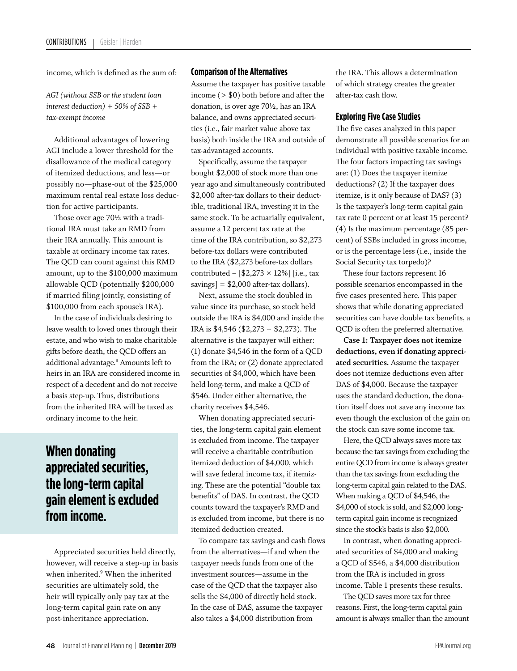income, which is defined as the sum of:

*AGI (without SSB or the student loan interest deduction) + 50% of SSB + tax-exempt income*

Additional advantages of lowering AGI include a lower threshold for the disallowance of the medical category of itemized deductions, and less—or possibly no—phase-out of the \$25,000 maximum rental real estate loss deduction for active participants.

Those over age 70½ with a traditional IRA must take an RMD from their IRA annually. This amount is taxable at ordinary income tax rates. The QCD can count against this RMD amount, up to the \$100,000 maximum allowable QCD (potentially \$200,000 if married filing jointly, consisting of \$100,000 from each spouse's IRA).

In the case of individuals desiring to leave wealth to loved ones through their estate, and who wish to make charitable gifts before death, the QCD offers an additional advantage.8 Amounts left to heirs in an IRA are considered income in respect of a decedent and do not receive a basis step-up. Thus, distributions from the inherited IRA will be taxed as ordinary income to the heir.

# **When donating appreciated securities, the long-term capital gain element is excluded from income.**

Appreciated securities held directly, however, will receive a step-up in basis when inherited.9 When the inherited securities are ultimately sold, the heir will typically only pay tax at the long-term capital gain rate on any post-inheritance appreciation.

# **Comparison of the Alternatives**

Assume the taxpayer has positive taxable income (> \$0) both before and after the donation, is over age 70½, has an IRA balance, and owns appreciated securities (i.e., fair market value above tax basis) both inside the IRA and outside of tax-advantaged accounts.

Specifically, assume the taxpayer bought \$2,000 of stock more than one year ago and simultaneously contributed \$2,000 after-tax dollars to their deductible, traditional IRA, investing it in the same stock. To be actuarially equivalent, assume a 12 percent tax rate at the time of the IRA contribution, so \$2,273 before-tax dollars were contributed to the IRA (\$2,273 before-tax dollars contributed  $-$  [\$2,273  $\times$  12%] [i.e., tax savings] = \$2,000 after-tax dollars).

Next, assume the stock doubled in value since its purchase, so stock held outside the IRA is \$4,000 and inside the IRA is \$4,546 (\$2,273 + \$2,273). The alternative is the taxpayer will either: (1) donate \$4,546 in the form of a QCD from the IRA; or (2) donate appreciated securities of \$4,000, which have been held long-term, and make a QCD of \$546. Under either alternative, the charity receives \$4,546.

When donating appreciated securities, the long-term capital gain element is excluded from income. The taxpayer will receive a charitable contribution itemized deduction of \$4,000, which will save federal income tax, if itemizing. These are the potential "double tax benefits" of DAS. In contrast, the QCD counts toward the taxpayer's RMD and is excluded from income, but there is no itemized deduction created.

To compare tax savings and cash flows from the alternatives—if and when the taxpayer needs funds from one of the investment sources—assume in the case of the QCD that the taxpayer also sells the \$4,000 of directly held stock. In the case of DAS, assume the taxpayer also takes a \$4,000 distribution from

the IRA. This allows a determination of which strategy creates the greater after-tax cash flow.

# **Exploring Five Case Studies**

The five cases analyzed in this paper demonstrate all possible scenarios for an individual with positive taxable income. The four factors impacting tax savings are: (1) Does the taxpayer itemize deductions? (2) If the taxpayer does itemize, is it only because of DAS? (3) Is the taxpayer's long-term capital gain tax rate 0 percent or at least 15 percent? (4) Is the maximum percentage (85 percent) of SSBs included in gross income, or is the percentage less (i.e., inside the Social Security tax torpedo)?

These four factors represent 16 possible scenarios encompassed in the five cases presented here. This paper shows that while donating appreciated securities can have double tax benefits, a QCD is often the preferred alternative.

**Case 1: Taxpayer does not itemize deductions, even if donating appreciated securities.** Assume the taxpayer does not itemize deductions even after DAS of \$4,000. Because the taxpayer uses the standard deduction, the donation itself does not save any income tax even though the exclusion of the gain on the stock can save some income tax.

Here, the QCD always saves more tax because the tax savings from excluding the entire QCD from income is always greater than the tax savings from excluding the long-term capital gain related to the DAS. When making a QCD of \$4,546, the \$4,000 of stock is sold, and \$2,000 longterm capital gain income is recognized since the stock's basis is also \$2,000.

In contrast, when donating appreciated securities of \$4,000 and making a QCD of \$546, a \$4,000 distribution from the IRA is included in gross income. Table 1 presents these results.

The QCD saves more tax for three reasons. First, the long-term capital gain amount is always smaller than the amount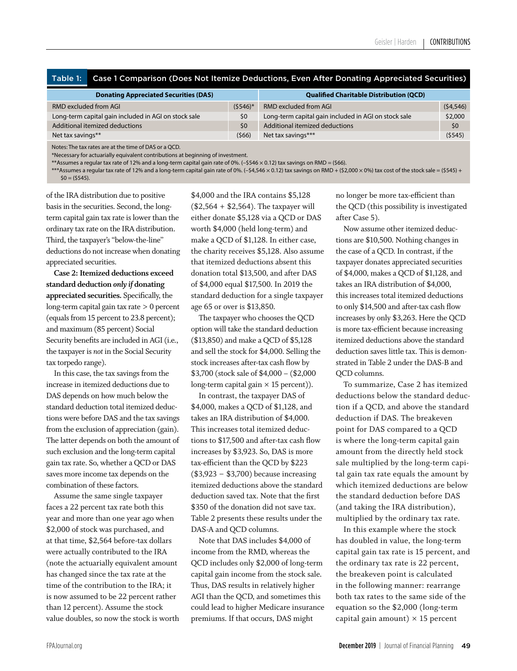| Table 1: Case 1 Comparison (Does Not Itemize Deductions, Even After Donating Appreciated Securities) |
|------------------------------------------------------------------------------------------------------|
|------------------------------------------------------------------------------------------------------|

| <b>Donating Appreciated Securities (DAS)</b>         |            | <b>Qualified Charitable Distribution (QCD)</b>       |           |  |  |
|------------------------------------------------------|------------|------------------------------------------------------|-----------|--|--|
| RMD excluded from AGI                                | $(5546)^*$ | <b>RMD excluded from AGI</b>                         | (54, 546) |  |  |
| Long-term capital gain included in AGI on stock sale | \$0        | Long-term capital gain included in AGI on stock sale | \$2,000   |  |  |
| Additional itemized deductions                       | \$0        | Additional itemized deductions                       | \$0       |  |  |
| Net tax savings**                                    | (566)      | Net tax savings***                                   | (5545)    |  |  |

Notes: The tax rates are at the time of DAS or a QCD.

\*Necessary for actuarially equivalent contributions at beginning of investment.

\*\*Assumes a regular tax rate of 12% and a long-term capital gain rate of 0%. (–\$546 × 0.12) tax savings on RMD = (\$66).

\*\*\*Assumes a regular tax rate of 12% and a long-term capital gain rate of 0%. (-\$4,546 × 0.12) tax savings on RMD + (\$2,000 × 0%) tax cost of the stock sale = (\$545) +  $$0 = (5545).$ 

of the IRA distribution due to positive basis in the securities. Second, the longterm capital gain tax rate is lower than the ordinary tax rate on the IRA distribution. Third, the taxpayer's "below-the-line" deductions do not increase when donating appreciated securities.

**Case 2: Itemized deductions exceed standard deduction** *only if* **donating appreciated securities.** Specifically, the long-term capital gain tax rate > 0 percent (equals from 15 percent to 23.8 percent); and maximum (85 percent) Social Security benefits are included in AGI (i.e., the taxpayer is *not* in the Social Security tax torpedo range).

In this case, the tax savings from the increase in itemized deductions due to DAS depends on how much below the standard deduction total itemized deductions were before DAS and the tax savings from the exclusion of appreciation (gain). The latter depends on both the amount of such exclusion and the long-term capital gain tax rate. So, whether a QCD or DAS saves more income tax depends on the combination of these factors.

Assume the same single taxpayer faces a 22 percent tax rate both this year and more than one year ago when \$2,000 of stock was purchased, and at that time, \$2,564 before-tax dollars were actually contributed to the IRA (note the actuarially equivalent amount has changed since the tax rate at the time of the contribution to the IRA; it is now assumed to be 22 percent rather than 12 percent). Assume the stock value doubles, so now the stock is worth \$4,000 and the IRA contains \$5,128  $($2,564 + $2,564)$ . The taxpayer will either donate \$5,128 via a QCD or DAS worth \$4,000 (held long-term) and make a QCD of \$1,128. In either case, the charity receives \$5,128. Also assume that itemized deductions absent this donation total \$13,500, and after DAS of \$4,000 equal \$17,500. In 2019 the standard deduction for a single taxpayer age 65 or over is \$13,850.

The taxpayer who chooses the QCD option will take the standard deduction (\$13,850) and make a QCD of \$5,128 and sell the stock for \$4,000. Selling the stock increases after-tax cash flow by \$3,700 (stock sale of \$4,000 – (\$2,000 long-term capital gain  $\times$  15 percent)).

In contrast, the taxpayer DAS of \$4,000, makes a QCD of \$1,128, and takes an IRA distribution of \$4,000. This increases total itemized deductions to \$17,500 and after-tax cash flow increases by \$3,923. So, DAS is more tax-efficient than the QCD by \$223 (\$3,923 − \$3,700) because increasing itemized deductions above the standard deduction saved tax. Note that the first \$350 of the donation did not save tax. Table 2 presents these results under the DAS-A and QCD columns.

Note that DAS includes \$4,000 of income from the RMD, whereas the QCD includes only \$2,000 of long-term capital gain income from the stock sale. Thus, DAS results in relatively higher AGI than the QCD, and sometimes this could lead to higher Medicare insurance premiums. If that occurs, DAS might

no longer be more tax-efficient than the QCD (this possibility is investigated after Case 5).

Now assume other itemized deductions are \$10,500. Nothing changes in the case of a QCD. In contrast, if the taxpayer donates appreciated securities of \$4,000, makes a QCD of \$1,128, and takes an IRA distribution of \$4,000, this increases total itemized deductions to only \$14,500 and after-tax cash flow increases by only \$3,263. Here the QCD is more tax-efficient because increasing itemized deductions above the standard deduction saves little tax. This is demonstrated in Table 2 under the DAS-B and QCD columns.

To summarize, Case 2 has itemized deductions below the standard deduction if a QCD, and above the standard deduction if DAS. The breakeven point for DAS compared to a QCD is where the long-term capital gain amount from the directly held stock sale multiplied by the long-term capital gain tax rate equals the amount by which itemized deductions are below the standard deduction before DAS (and taking the IRA distribution), multiplied by the ordinary tax rate.

In this example where the stock has doubled in value, the long-term capital gain tax rate is 15 percent, and the ordinary tax rate is 22 percent, the breakeven point is calculated in the following manner: rearrange both tax rates to the same side of the equation so the \$2,000 (long-term capital gain amount)  $\times$  15 percent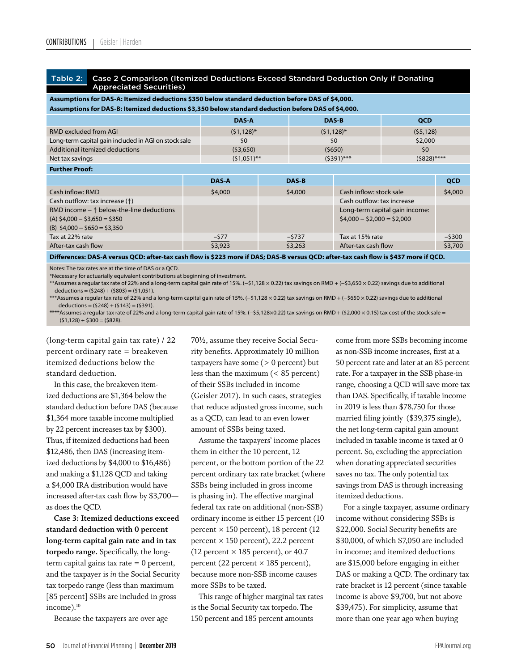#### Table 2: Case 2 Comparison (Itemized Deductions Exceed Standard Deduction Only if Donating Appreciated Securities)

| Assumptions for DAS-A: Itemized deductions \$350 below standard deduction before DAS of \$4,000.                    |               |  |               |                            |                                |           |  |
|---------------------------------------------------------------------------------------------------------------------|---------------|--|---------------|----------------------------|--------------------------------|-----------|--|
| Assumptions for DAS-B: Itemized deductions \$3,350 below standard deduction before DAS of \$4,000.                  |               |  |               |                            |                                |           |  |
|                                                                                                                     | <b>DAS-A</b>  |  | DAS-B         |                            | <b>QCD</b>                     |           |  |
| RMD excluded from AGI                                                                                               | $(51, 128)^*$ |  | $(51, 128)^*$ |                            | (55, 128)                      |           |  |
| Long-term capital gain included in AGI on stock sale                                                                | \$0           |  | 50            |                            | \$2,000                        |           |  |
| Additional itemized deductions                                                                                      | (53,650)      |  | (5650)        |                            | \$0                            |           |  |
| Net tax savings                                                                                                     | $(51,051)$ ** |  | $(5391)$ ***  |                            | $(5828)$ ****                  |           |  |
| <b>Further Proof:</b>                                                                                               |               |  |               |                            |                                |           |  |
|                                                                                                                     | <b>DAS-A</b>  |  | <b>DAS-B</b>  |                            |                                | QCD       |  |
| Cash inflow: RMD                                                                                                    | \$4,000       |  | \$4,000       | Cash inflow: stock sale    |                                | \$4,000   |  |
| Cash outflow: tax increase $($ $\uparrow$ $)$                                                                       |               |  |               | Cash outflow: tax increase |                                |           |  |
| RMD income $ \uparrow$ below-the-line deductions<br>$(A)$ \$4,000 - \$3,650 = \$350<br>(B) $$4,000 - $650 = $3,350$ |               |  |               | $$4,000 - $2,000 = $2,000$ | Long-term capital gain income: |           |  |
| Tax at 22% rate                                                                                                     | $-577$        |  | $-5737$       | Tax at 15% rate            |                                | $-$ \$300 |  |
| After-tax cash flow                                                                                                 | \$3,923       |  | \$3,263       | After-tax cash flow        |                                | \$3,700   |  |

Differences: DAS-A versus QCD: after-tax cash flow is \$223 more if DAS; DAS-B versus QCD: after-tax cash flow is \$437 more if QCD.

Notes: The tax rates are at the time of DAS or a QCD.

\*Necessary for actuarially equivalent contributions at beginning of investment.

\*\*Assumes a regular tax rate of 22% and a long-term capital gain rate of 15%. (−\$1,128 × 0.22) tax savings on RMD + (−\$3,650 × 0.22) savings due to additional  $deductions = (5248) + (5803) = (51.051).$ 

\*\*\*Assumes a regular tax rate of 22% and a long-term capital gain rate of 15%. (−\$1,128 × 0.22) tax savings on RMD + (−\$650 × 0.22) savings due to additional deductions =  $(5248) + (5143) = (5391)$ .

\*\*\*\*Assumes a regular tax rate of 22% and a long-term capital gain rate of 15%. (−\$5,128×0.22) tax savings on RMD + (\$2,000 × 0.15) tax cost of the stock sale =  $(51,128) + 5300 = (5828).$ 

(long-term capital gain tax rate) / 22 percent ordinary rate = breakeven itemized deductions below the standard deduction.

In this case, the breakeven itemized deductions are \$1,364 below the standard deduction before DAS (because \$1,364 more taxable income multiplied by 22 percent increases tax by \$300). Thus, if itemized deductions had been \$12,486, then DAS (increasing itemized deductions by \$4,000 to \$16,486) and making a \$1,128 QCD and taking a \$4,000 IRA distribution would have increased after-tax cash flow by \$3,700 as does the QCD.

**Case 3: Itemized deductions exceed standard deduction with 0 percent long-term capital gain rate and in tax torpedo range.** Specifically, the longterm capital gains tax rate = 0 percent, and the taxpayer is *in* the Social Security tax torpedo range (less than maximum [85 percent] SSBs are included in gross income).<sup>10</sup>

Because the taxpayers are over age

70½, assume they receive Social Security benefits. Approximately 10 million taxpayers have some  $(> 0$  percent) but less than the maximum (< 85 percent) of their SSBs included in income (Geisler 2017). In such cases, strategies that reduce adjusted gross income, such as a QCD, can lead to an even lower amount of SSBs being taxed.

Assume the taxpayers' income places them in either the 10 percent, 12 percent, or the bottom portion of the 22 percent ordinary tax rate bracket (where SSBs being included in gross income is phasing in). The effective marginal federal tax rate on additional (non-SSB) ordinary income is either 15 percent (10 percent  $\times$  150 percent), 18 percent (12 percent  $\times$  150 percent), 22.2 percent (12 percent  $\times$  185 percent), or 40.7 percent (22 percent  $\times$  185 percent), because more non-SSB income causes more SSBs to be taxed.

This range of higher marginal tax rates is the Social Security tax torpedo. The 150 percent and 185 percent amounts

come from more SSBs becoming income as non-SSB income increases, first at a 50 percent rate and later at an 85 percent rate. For a taxpayer in the SSB phase-in range, choosing a QCD will save more tax than DAS. Specifically, if taxable income in 2019 is less than \$78,750 for those married filing jointly (\$39,375 single), the net long-term capital gain amount included in taxable income is taxed at 0 percent. So, excluding the appreciation when donating appreciated securities saves no tax. The only potential tax savings from DAS is through increasing itemized deductions.

For a single taxpayer, assume ordinary income without considering SSBs is \$22,000. Social Security benefits are \$30,000, of which \$7,050 are included in income; and itemized deductions are \$15,000 before engaging in either DAS or making a QCD. The ordinary tax rate bracket is 12 percent (since taxable income is above \$9,700, but not above \$39,475). For simplicity, assume that more than one year ago when buying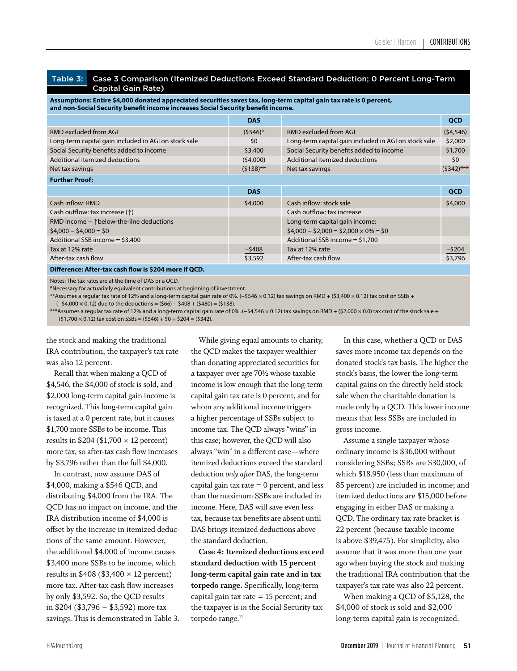#### Table 3: Case 3 Comparison (Itemized Deductions Exceed Standard Deduction; 0 Percent Long-Term Capital Gain Rate)

**Assumptions: Entire \$4,000 donated appreciated securities saves tax, long-term capital gain tax rate is 0 percent,**  and non-Social Security benefit income increases Social Security benefit income.

|                                                       | <b>DAS</b>  |                                                      | <b>QCD</b>   |
|-------------------------------------------------------|-------------|------------------------------------------------------|--------------|
| <b>RMD excluded from AGI</b>                          | $(5546)^*$  | RMD excluded from AGI                                | (54, 546)    |
| Long-term capital gain included in AGI on stock sale  | \$0         | Long-term capital gain included in AGI on stock sale | \$2,000      |
| Social Security benefits added to income              | \$3,400     | Social Security benefits added to income             | \$1,700      |
| Additional itemized deductions                        | (54,000)    | Additional itemized deductions                       | \$0          |
| Net tax savings                                       | $(5138)$ ** | Net tax savings                                      | $(5342)$ *** |
| <b>Further Proof:</b>                                 |             |                                                      |              |
|                                                       | <b>DAS</b>  |                                                      | QCD          |
| Cash inflow: RMD                                      | \$4,000     | Cash inflow: stock sale                              | \$4,000      |
| Cash outflow: tax increase (1)                        |             | Cash outflow: tax increase                           |              |
| RMD income $ \uparrow$ below-the-line deductions      |             | Long-term capital gain income:                       |              |
| $$4,000 - $4,000 = $0$                                |             | $$4,000 - $2,000 = $2,000 \times 0\% = $0$           |              |
| Additional SSB income $=$ \$3,400                     |             | Additional SSB income $=$ \$1,700                    |              |
| Tax at 12% rate                                       | $-$ \$408   | Tax at 12% rate                                      | $-$ \$204    |
| After-tax cash flow                                   | \$3,592     | After-tax cash flow                                  | \$3,796      |
| Difference: After-tax cash flow is \$204 more if QCD. |             |                                                      |              |

Notes: The tax rates are at the time of DAS or a QCD.

\*Necessary for actuarially equivalent contributions at beginning of investment.

\*\*Assumes a regular tax rate of 12% and a long-term capital gain rate of 0%. (−\$546 × 0.12) tax savings on RMD + (\$3,400 × 0.12) tax cost on SSBs + (−\$4,000 × 0.12) due to the deductions = (\$66) + \$408 + (\$480) = (\$138).

\*\*\*Assumes a regular tax rate of 12% and a long-term capital gain rate of 0%. (−\$4,546 × 0.12) tax savings on RMD + (\$2,000 × 0.0) tax cost of the stock sale +  $(51,700 \times 0.12)$  tax cost on SSBs =  $(5546) + 50 + 5204 = (5342)$ .

the stock and making the traditional IRA contribution, the taxpayer's tax rate was also 12 percent.

Recall that when making a QCD of \$4,546, the \$4,000 of stock is sold, and \$2,000 long-term capital gain income is recognized. This long-term capital gain is taxed at a 0 percent rate, but it causes \$1,700 more SSBs to be income. This results in  $$204 ($1,700 \times 12$  percent) more tax, so after-tax cash flow increases by \$3,796 rather than the full \$4,000.

In contrast, now assume DAS of \$4,000, making a \$546 QCD, and distributing \$4,000 from the IRA. The QCD has no impact on income, and the IRA distribution income of \$4,000 is offset by the increase in itemized deductions of the same amount. However, the additional \$4,000 of income causes \$3,400 more SSBs to be income, which results in  $$408 ($3,400 \times 12 \text{ percent})$ more tax. After-tax cash flow increases by only \$3,592. So, the QCD results in \$204 (\$3,796 − \$3,592) more tax savings. This is demonstrated in Table 3.

While giving equal amounts to charity, the QCD makes the taxpayer wealthier than donating appreciated securities for a taxpayer over age 70½ whose taxable income is low enough that the long-term capital gain tax rate is 0 percent, and for whom any additional income triggers a higher percentage of SSBs subject to income tax. The QCD always "wins" in this case; however, the QCD will also always "win" in a different case—where itemized deductions exceed the standard deduction *only after* DAS, the long-term capital gain tax rate  $= 0$  percent, and less than the maximum SSBs are included in income. Here, DAS will save even less tax, because tax benefits are absent until DAS brings itemized deductions above the standard deduction.

**Case 4: Itemized deductions exceed standard deduction with 15 percent long-term capital gain rate and in tax torpedo range.** Specifically, long-term capital gain tax rate = 15 percent; and the taxpayer is *in* the Social Security tax torpedo range.<sup>11</sup>

In this case, whether a QCD or DAS saves more income tax depends on the donated stock's tax basis. The higher the stock's basis, the lower the long-term capital gains on the directly held stock sale when the charitable donation is made only by a QCD. This lower income means that less SSBs are included in gross income.

Assume a single taxpayer whose ordinary income is \$36,000 without considering SSBs; SSBs are \$30,000, of which \$18,950 (less than maximum of 85 percent) are included in income; and itemized deductions are \$15,000 before engaging in either DAS or making a QCD. The ordinary tax rate bracket is 22 percent (because taxable income is above \$39,475). For simplicity, also assume that it was more than one year ago when buying the stock and making the traditional IRA contribution that the taxpayer's tax rate was also 22 percent.

When making a QCD of \$5,128, the \$4,000 of stock is sold and \$2,000 long-term capital gain is recognized.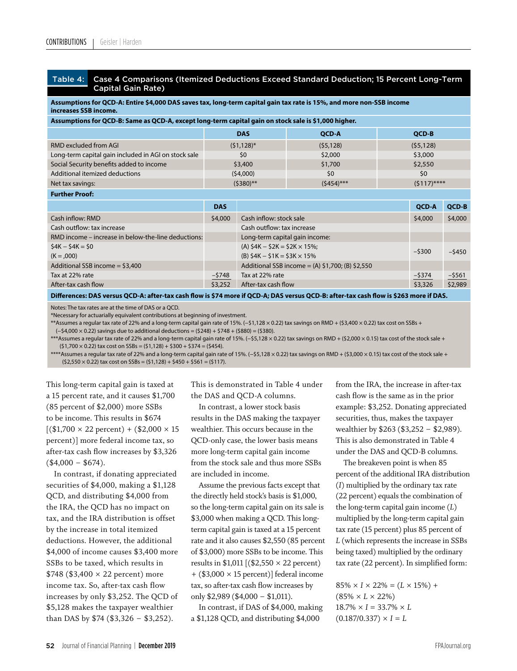**Further Proof:**

#### Table 4: Case 4 Comparisons (Itemized Deductions Exceed Standard Deduction; 15 Percent Long-Term Capital Gain Rate)

**Assumptions for QCD-A: Entire \$4,000 DAS saves tax, long-term capital gain tax rate is 15%, and more non-SSB income increases SSB income.** 

**Assumptions for QCD-B: Same as QCD-A, except long-term capital gain on stock sale is \$1,000 higher.** 

|                                                      | <b>DAS</b>    | <b>OCD-A</b> | <b>OCD-B</b>  |
|------------------------------------------------------|---------------|--------------|---------------|
| RMD excluded from AGI                                | $(51, 128)^*$ | (55, 128)    | (55, 128)     |
| Long-term capital gain included in AGI on stock sale | \$0           | \$2,000      | \$3,000       |
| Social Security benefits added to income             | \$3,400       | \$1,700      | \$2,550       |
| Additional itemized deductions                       | (54,000)      | \$0          | \$0           |
| Net tax savings:                                     | $(5380)$ **   | $(5454)$ *** | $(5117)$ **** |

|                                                                                                                                       | <b>DAS</b> |                                                      | <b>OCD-A</b> | QCD-B     |  |  |  |
|---------------------------------------------------------------------------------------------------------------------------------------|------------|------------------------------------------------------|--------------|-----------|--|--|--|
| Cash inflow: RMD                                                                                                                      | \$4,000    | Cash inflow: stock sale                              | \$4,000      | \$4,000   |  |  |  |
| Cash outflow: tax increase                                                                                                            |            | Cash outflow: tax increase                           |              |           |  |  |  |
| RMD income – increase in below-the-line deductions:                                                                                   |            | Long-term capital gain income:                       |              |           |  |  |  |
| $$4K - $4K = $0$                                                                                                                      |            | (A) $$4K - $2K = $2K \times 15\%$ ;                  |              |           |  |  |  |
| $(K = 0.000)$                                                                                                                         |            | (B) $$4K - $1K = $3K \times 15\%$                    | $-5300$      | $-$ \$450 |  |  |  |
| Additional SSB income $=$ \$3,400                                                                                                     |            | Additional SSB income = $(A)$ \$1,700; $(B)$ \$2,550 |              |           |  |  |  |
| Tax at 22% rate                                                                                                                       | $-5748$    | Tax at 22% rate                                      | $-$ \$374    | $-$ \$561 |  |  |  |
| After-tax cash flow                                                                                                                   | \$3,252    | After-tax cash flow                                  | \$3,326      | \$2,989   |  |  |  |
| Differences: DAS versus QCD-A: after-tax cash flow is \$74 more if QCD-A: DAS versus QCD-B: after-tax cash flow is \$263 more if DAS. |            |                                                      |              |           |  |  |  |

Notes: The tax rates are at the time of DAS or a QCD. 

\*Necessary for actuarially equivalent contributions at beginning of investment.

\*\*Assumes a regular tax rate of 22% and a long-term capital gain rate of 15%. (−\$1,128 × 0.22) tax savings on RMD + (\$3,400 × 0.22) tax cost on SSBs +

(−\$4,000 × 0.22) savings due to additional deductions = (\$248) + \$748 + (\$880) = (\$380).

\*\*\*Assumes a regular tax rate of 22% and a long-term capital gain rate of 15%. (−\$5,128 × 0.22) tax savings on RMD + (\$2,000 × 0.15) tax cost of the stock sale +  $(51,700 \times 0.22)$  tax cost on SSBs =  $(51,128) + 5300 + 5374 = (5454)$ .

\*\*\*\*Assumes a regular tax rate of 22% and a long-term capital gain rate of 15%. (−\$5,128 × 0.22) tax savings on RMD + (\$3,000 × 0.15) tax cost of the stock sale +  $(52,550 \times 0.22)$  tax cost on SSBs =  $(51,128) + 5450 + 5561 = (5117)$ .

This long-term capital gain is taxed at a 15 percent rate, and it causes \$1,700 (85 percent of \$2,000) more SSBs to be income. This results in \$674  $[(\$1,700 \times 22 \text{ percent}) + (\$2,000 \times 15$ percent)] more federal income tax, so after-tax cash flow increases by \$3,326  $($4,000 - $674).$ 

In contrast, if donating appreciated securities of \$4,000, making a \$1,128 QCD, and distributing \$4,000 from the IRA, the QCD has no impact on tax, and the IRA distribution is offset by the increase in total itemized deductions. However, the additional \$4,000 of income causes \$3,400 more SSBs to be taxed, which results in  $$748 ($3,400 \times 22 \text{ percent})$  more income tax. So, after-tax cash flow increases by only \$3,252. The QCD of \$5,128 makes the taxpayer wealthier than DAS by \$74 (\$3,326 − \$3,252).

This is demonstrated in Table 4 under the DAS and QCD-A columns.

In contrast, a lower stock basis results in the DAS making the taxpayer wealthier. This occurs because in the QCD-only case, the lower basis means more long-term capital gain income from the stock sale and thus more SSBs are included in income.

Assume the previous facts except that the directly held stock's basis is \$1,000, so the long-term capital gain on its sale is \$3,000 when making a QCD. This longterm capital gain is taxed at a 15 percent rate and it also causes \$2,550 (85 percent of \$3,000) more SSBs to be income. This results in  $$1,011$  [( $$2,550 \times 22$  percent) + (\$3,000 × 15 percent)] federal income tax, so after-tax cash flow increases by only \$2,989 (\$4,000 − \$1,011).

In contrast, if DAS of \$4,000, making a \$1,128 QCD, and distributing \$4,000

from the IRA, the increase in after-tax cash flow is the same as in the prior example: \$3,252. Donating appreciated securities, thus, makes the taxpayer wealthier by \$263 (\$3,252 − \$2,989). This is also demonstrated in Table 4 under the DAS and QCD-B columns.

The breakeven point is when 85 percent of the additional IRA distribution (*I*) multiplied by the ordinary tax rate (22 percent) equals the combination of the long-term capital gain income (*L*) multiplied by the long-term capital gain tax rate (15 percent) plus 85 percent of *L* (which represents the increase in SSBs being taxed) multiplied by the ordinary tax rate (22 percent). In simplified form:

 $85\% \times I \times 22\% = (L \times 15\%) +$  $(85\% \times L \times 22\%)$  $18.7\% \times I = 33.7\% \times L$  $(0.187/0.337) \times I = L$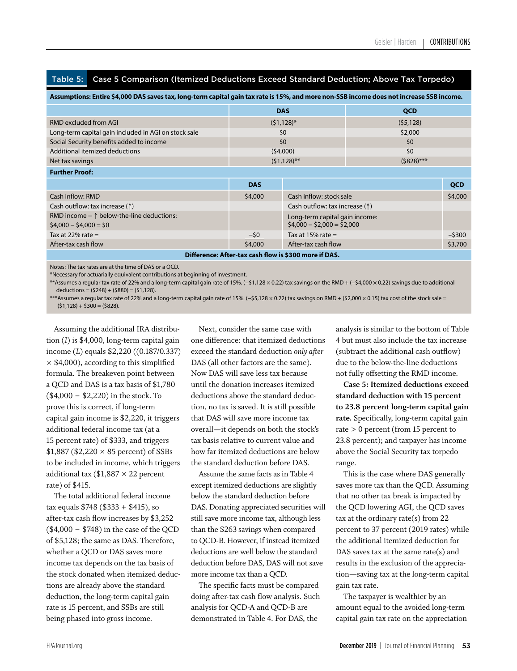Table 5: Case 5 Comparison (Itemized Deductions Exceed Standard Deduction; Above Tax Torpedo)

| Assumptions: Entire \$4,000 DAS saves tax, long-term capital gain tax rate is 15%, and more non-SSB income does not increase SSB income. |                |                                         |              |            |  |  |
|------------------------------------------------------------------------------------------------------------------------------------------|----------------|-----------------------------------------|--------------|------------|--|--|
|                                                                                                                                          | <b>DAS</b>     |                                         | <b>QCD</b>   |            |  |  |
| RMD excluded from AGI                                                                                                                    | $(51, 128)^*$  |                                         | (55, 128)    |            |  |  |
| Long-term capital gain included in AGI on stock sale                                                                                     | \$0            |                                         | \$2,000      |            |  |  |
| Social Security benefits added to income                                                                                                 | \$0            |                                         | 50           |            |  |  |
| Additional itemized deductions                                                                                                           | (54,000)       |                                         | 50           |            |  |  |
| Net tax savings                                                                                                                          | $(51, 128)$ ** |                                         | $(5828)$ *** |            |  |  |
| <b>Further Proof:</b>                                                                                                                    |                |                                         |              |            |  |  |
|                                                                                                                                          | <b>DAS</b>     |                                         |              | <b>QCD</b> |  |  |
| Cash inflow: RMD                                                                                                                         | \$4,000        | Cash inflow: stock sale                 |              | \$4,000    |  |  |
| Cash outflow: tax increase (1)                                                                                                           |                | Cash outflow: tax increase $(\uparrow)$ |              |            |  |  |
| RMD income $ \uparrow$ below-the-line deductions:                                                                                        |                | Long-term capital gain income:          |              |            |  |  |
| $$4,000 - $4,000 = $0$                                                                                                                   |                | $$4,000 - $2,000 = $2,000$              |              |            |  |  |
| Tax at 22% rate $=$                                                                                                                      | $-50$          | Tax at 15% rate $=$                     |              | $-5300$    |  |  |
| After-tax cash flow                                                                                                                      | \$4,000        | After-tax cash flow                     |              | \$3,700    |  |  |
| Difference: After-tax cash flow is \$300 more if DAS.                                                                                    |                |                                         |              |            |  |  |

Notes: The tax rates are at the time of DAS or a QCD.

\*Necessary for actuarially equivalent contributions at beginning of investment.

\*\*Assumes a regular tax rate of 22% and a long-term capital gain rate of 15%. (−\$1,128 × 0.22) tax savings on the RMD + (−\$4,000 × 0.22) savings due to additional  $deductions = (5248) + (5880) = (51.128).$ 

\*\*\*Assumes a regular tax rate of 22% and a long-term capital gain rate of 15%. (−\$5,128 × 0.22) tax savings on RMD + (\$2,000 × 0.15) tax cost of the stock sale =  $(51,128) + 5300 = (5828).$ 

Assuming the additional IRA distribution (*I*) is \$4,000, long-term capital gain income (*L*) equals \$2,220 ((0.187/0.337)  $\times$  \$4,000), according to this simplified formula. The breakeven point between a QCD and DAS is a tax basis of \$1,780 (\$4,000 − \$2,220) in the stock. To prove this is correct, if long-term capital gain income is \$2,220, it triggers additional federal income tax (at a 15 percent rate) of \$333, and triggers  $$1,887 ($2,220 \times 85 \text{ percent})$  of SSBs to be included in income, which triggers additional tax ( $$1,887 \times 22$  percent rate) of \$415.

The total additional federal income tax equals \$748 (\$333 + \$415), so after-tax cash flow increases by \$3,252 (\$4,000 − \$748) in the case of the QCD of \$5,128; the same as DAS. Therefore, whether a QCD or DAS saves more income tax depends on the tax basis of the stock donated when itemized deductions are already above the standard deduction, the long-term capital gain rate is 15 percent, and SSBs are still being phased into gross income.

Next, consider the same case with one difference: that itemized deductions exceed the standard deduction *only after*  DAS (all other factors are the same). Now DAS will save less tax because until the donation increases itemized deductions above the standard deduction, no tax is saved. It is still possible that DAS will save more income tax overall—it depends on both the stock's tax basis relative to current value and how far itemized deductions are below the standard deduction before DAS.

Assume the same facts as in Table 4 except itemized deductions are slightly below the standard deduction before DAS. Donating appreciated securities will still save more income tax, although less than the \$263 savings when compared to QCD-B. However, if instead itemized deductions are well below the standard deduction before DAS, DAS will not save more income tax than a QCD.

The specific facts must be compared doing after-tax cash flow analysis. Such analysis for QCD-A and QCD-B are demonstrated in Table 4. For DAS, the

analysis is similar to the bottom of Table 4 but must also include the tax increase (subtract the additional cash outflow) due to the below-the-line deductions not fully offsetting the RMD income.

**Case 5: Itemized deductions exceed standard deduction with 15 percent to 23.8 percent long-term capital gain rate.** Specifically, long-term capital gain rate > 0 percent (from 15 percent to 23.8 percent); and taxpayer has income above the Social Security tax torpedo range.

This is the case where DAS generally saves more tax than the QCD. Assuming that no other tax break is impacted by the QCD lowering AGI, the QCD saves tax at the ordinary rate(s) from  $22$ percent to 37 percent (2019 rates) while the additional itemized deduction for DAS saves tax at the same rate(s) and results in the exclusion of the appreciation—saving tax at the long-term capital gain tax rate.

The taxpayer is wealthier by an amount equal to the avoided long-term capital gain tax rate on the appreciation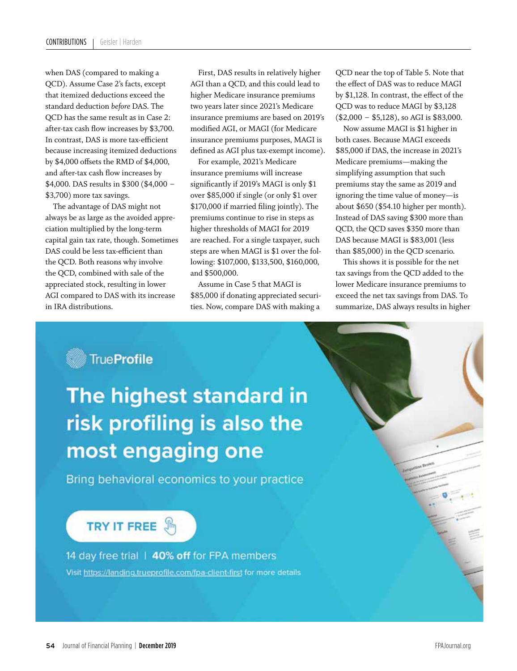when DAS (compared to making a QCD). Assume Case 2's facts, except that itemized deductions exceed the standard deduction *before* DAS. The QCD has the same result as in Case 2: after-tax cash flow increases by \$3,700. In contrast, DAS is more tax-efficient because increasing itemized deductions by \$4,000 offsets the RMD of \$4,000, and after-tax cash flow increases by \$4,000. DAS results in \$300 (\$4,000 − \$3,700) more tax savings.

The advantage of DAS might not always be as large as the avoided appreciation multiplied by the long-term capital gain tax rate, though. Sometimes DAS could be less tax-efficient than the QCD. Both reasons why involve the QCD, combined with sale of the appreciated stock, resulting in lower AGI compared to DAS with its increase in IRA distributions.

First, DAS results in relatively higher AGI than a QCD, and this could lead to higher Medicare insurance premiums two years later since 2021's Medicare insurance premiums are based on 2019's modified AGI, or MAGI (for Medicare insurance premiums purposes, MAGI is defined as AGI plus tax-exempt income).

For example, 2021's Medicare insurance premiums will increase significantly if 2019's MAGI is only \$1 over \$85,000 if single (or only \$1 over \$170,000 if married filing jointly). The premiums continue to rise in steps as higher thresholds of MAGI for 2019 are reached. For a single taxpayer, such steps are when MAGI is \$1 over the following: \$107,000, \$133,500, \$160,000, and \$500,000.

Assume in Case 5 that MAGI is \$85,000 if donating appreciated securities. Now, compare DAS with making a

QCD near the top of Table 5. Note that the effect of DAS was to reduce MAGI by \$1,128. In contrast, the effect of the QCD was to reduce MAGI by \$3,128 (\$2,000 − \$5,128), so AGI is \$83,000.

Now assume MAGI is \$1 higher in both cases. Because MAGI exceeds \$85,000 if DAS, the increase in 2021's Medicare premiums—making the simplifying assumption that such premiums stay the same as 2019 and ignoring the time value of money—is about \$650 (\$54.10 higher per month). Instead of DAS saving \$300 more than QCD, the QCD saves \$350 more than DAS because MAGI is \$83,001 (less than \$85,000) in the QCD scenario.

This shows it is possible for the net tax savings from the QCD added to the lower Medicare insurance premiums to exceed the net tax savings from DAS. To summarize, DAS always results in higher

# True Profile

The highest standard in risk profiling is also the most engaging one

Bring behavioral economics to your practice

# **TRY IT FREE**

14 day free trial | 40% off for FPA members Visit https://landing.trueprofile.com/fpa-client-first for more details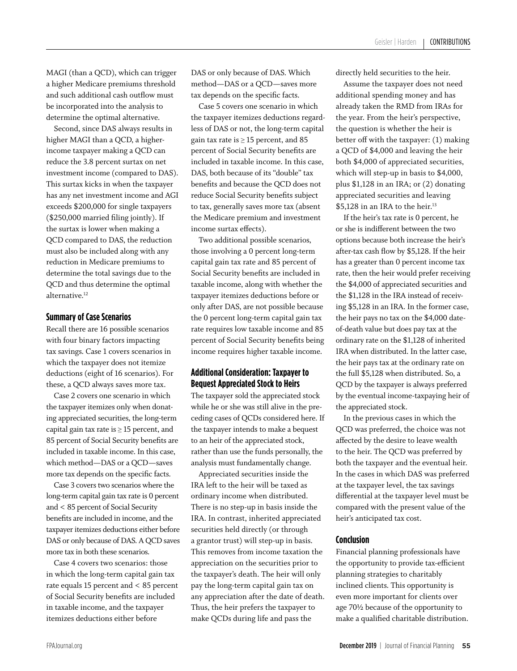MAGI (than a QCD), which can trigger a higher Medicare premiums threshold and such additional cash outflow must be incorporated into the analysis to determine the optimal alternative.

Second, since DAS always results in higher MAGI than a QCD, a higherincome taxpayer making a QCD can reduce the 3.8 percent surtax on net investment income (compared to DAS). This surtax kicks in when the taxpayer has any net investment income and AGI exceeds \$200,000 for single taxpayers (\$250,000 married filing jointly). If the surtax is lower when making a QCD compared to DAS, the reduction must also be included along with any reduction in Medicare premiums to determine the total savings due to the QCD and thus determine the optimal alternative.<sup>12</sup>

# **Summary of Case Scenarios**

Recall there are 16 possible scenarios with four binary factors impacting tax savings. Case 1 covers scenarios in which the taxpayer does not itemize deductions (eight of 16 scenarios). For these, a QCD always saves more tax.

Case 2 covers one scenario in which the taxpayer itemizes only when donating appreciated securities, the long-term capital gain tax rate is  $\geq$  15 percent, and 85 percent of Social Security benefits are included in taxable income. In this case, which method—DAS or a QCD—saves more tax depends on the specific facts.

Case 3 covers two scenarios where the long-term capital gain tax rate is 0 percent and < 85 percent of Social Security benefits are included in income, and the taxpayer itemizes deductions either before DAS or only because of DAS. A QCD saves more tax in both these scenarios.

Case 4 covers two scenarios: those in which the long-term capital gain tax rate equals 15 percent and < 85 percent of Social Security benefits are included in taxable income, and the taxpayer itemizes deductions either before

DAS or only because of DAS. Which method—DAS or a QCD—saves more tax depends on the specific facts.

Case 5 covers one scenario in which the taxpayer itemizes deductions regardless of DAS or not, the long-term capital gain tax rate is  $\geq$  15 percent, and 85 percent of Social Security benefits are included in taxable income. In this case, DAS, both because of its "double" tax benefits and because the QCD does not reduce Social Security benefits subject to tax, generally saves more tax (absent the Medicare premium and investment income surtax effects).

Two additional possible scenarios, those involving a 0 percent long-term capital gain tax rate and 85 percent of Social Security benefits are included in taxable income, along with whether the taxpayer itemizes deductions before or only after DAS, are not possible because the 0 percent long-term capital gain tax rate requires low taxable income and 85 percent of Social Security benefits being income requires higher taxable income.

# **Additional Consideration: Taxpayer to Bequest Appreciated Stock to Heirs**

The taxpayer sold the appreciated stock while he or she was still alive in the preceding cases of QCDs considered here. If the taxpayer intends to make a bequest to an heir of the appreciated stock, rather than use the funds personally, the analysis must fundamentally change.

Appreciated securities inside the IRA left to the heir will be taxed as ordinary income when distributed. There is no step-up in basis inside the IRA. In contrast, inherited appreciated securities held directly (or through a grantor trust) will step-up in basis. This removes from income taxation the appreciation on the securities prior to the taxpayer's death. The heir will only pay the long-term capital gain tax on any appreciation after the date of death. Thus, the heir prefers the taxpayer to make QCDs during life and pass the

directly held securities to the heir.

Assume the taxpayer does not need additional spending money and has already taken the RMD from IRAs for the year. From the heir's perspective, the question is whether the heir is better off with the taxpayer: (1) making a QCD of \$4,000 and leaving the heir both \$4,000 of appreciated securities, which will step-up in basis to \$4,000, plus \$1,128 in an IRA; or (2) donating appreciated securities and leaving \$5,128 in an IRA to the heir.<sup>13</sup>

If the heir's tax rate is 0 percent, he or she is indifferent between the two options because both increase the heir's after-tax cash flow by \$5,128. If the heir has a greater than 0 percent income tax rate, then the heir would prefer receiving the \$4,000 of appreciated securities and the \$1,128 in the IRA instead of receiving \$5,128 in an IRA. In the former case, the heir pays no tax on the \$4,000 dateof-death value but does pay tax at the ordinary rate on the \$1,128 of inherited IRA when distributed. In the latter case, the heir pays tax at the ordinary rate on the full \$5,128 when distributed. So, a QCD by the taxpayer is always preferred by the eventual income-taxpaying heir of the appreciated stock.

In the previous cases in which the QCD was preferred, the choice was not affected by the desire to leave wealth to the heir. The QCD was preferred by both the taxpayer and the eventual heir. In the cases in which DAS was preferred at the taxpayer level, the tax savings differential at the taxpayer level must be compared with the present value of the heir's anticipated tax cost.

# **Conclusion**

Financial planning professionals have the opportunity to provide tax-efficient planning strategies to charitably inclined clients. This opportunity is even more important for clients over age 70½ because of the opportunity to make a qualified charitable distribution.